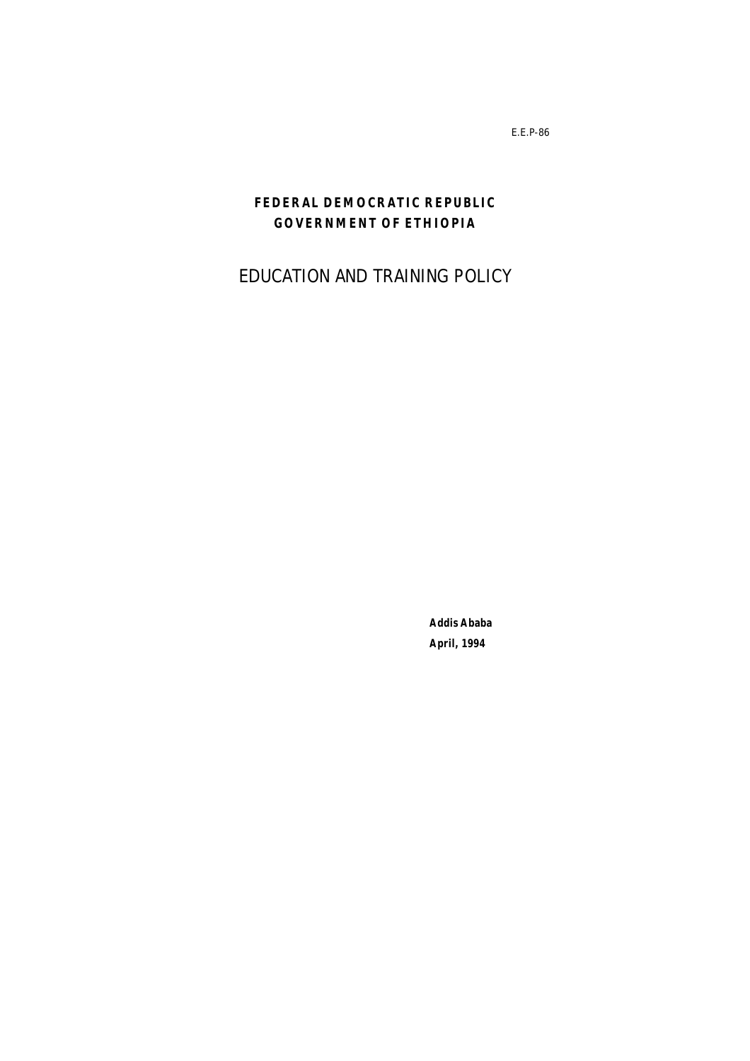E.E.P-86

# **FEDERAL DEMOCRATIC REPUBLIC GOVERNMENT OF ETHIOPIA**

**EDUCATION AND TRAINING POLICY**

**Addis Ababa April, 1994**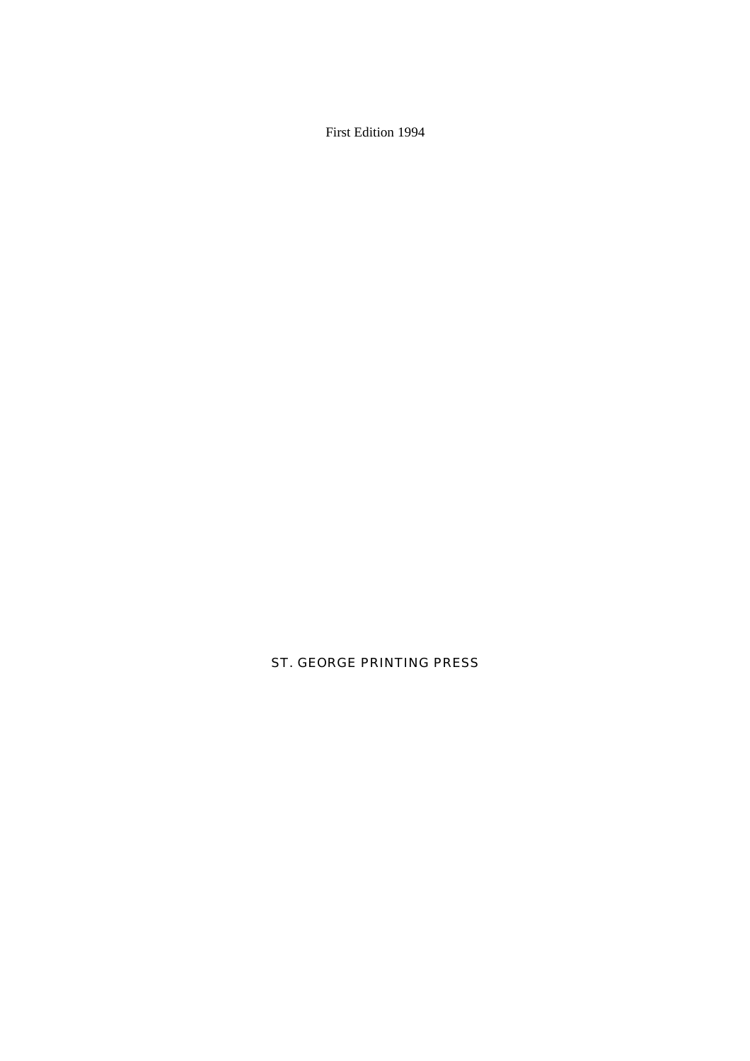## First Edition 1994

# ST. GEORGE PRINTING PRESS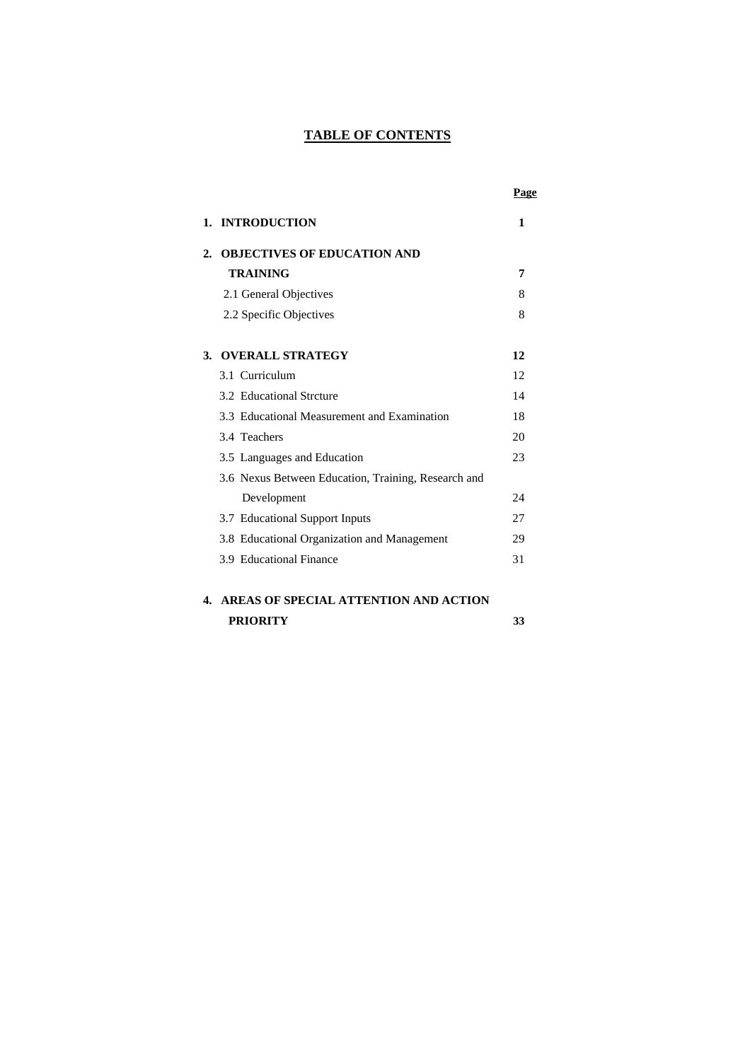# **TABLE OF CONTENTS**

|                  |                                                     | Page |
|------------------|-----------------------------------------------------|------|
|                  | 1. INTRODUCTION                                     | 1    |
| $\overline{2}$ . | <b>OBJECTIVES OF EDUCATION AND</b>                  |      |
|                  | <b>TRAINING</b>                                     | 7    |
|                  | 2.1 General Objectives                              | 8    |
|                  | 2.2 Specific Objectives                             | 8    |
| 3.               | <b>OVERALL STRATEGY</b>                             | 12   |
|                  | 3.1 Curriculum                                      | 12   |
|                  | 3.2 Educational Streture                            | 14   |
|                  | 3.3 Educational Measurement and Examination         | 18   |
|                  | 3.4 Teachers                                        | 20   |
|                  | 3.5 Languages and Education                         | 23   |
|                  | 3.6 Nexus Between Education, Training, Research and |      |
|                  | Development                                         | 24   |
|                  | 3.7 Educational Support Inputs                      | 27   |
|                  | 3.8 Educational Organization and Management         | 29   |
|                  | 3.9 Educational Finance                             | 31   |
|                  |                                                     |      |

# **4. AREAS OF SPECIAL ATTENTION AND ACTION PRIORITY 33**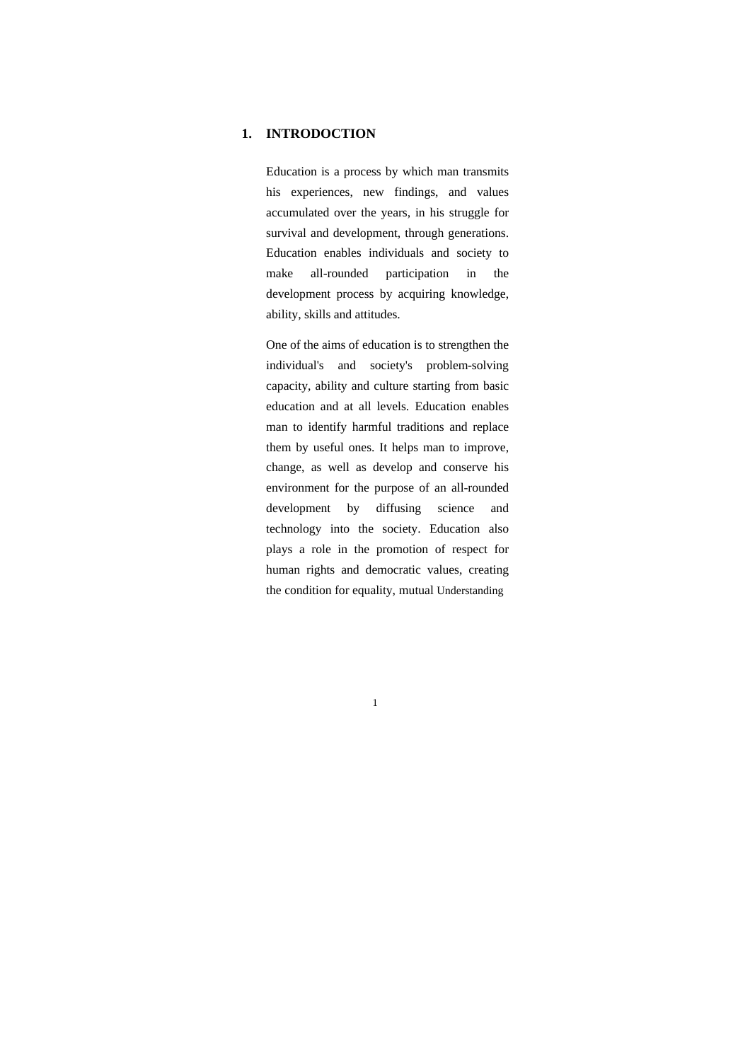### **1. INTRODOCTION**

Education is a process by which man transmits his experiences, new findings, and values accumulated over the years, in his struggle for survival and development, through generations. Education enables individuals and society to make all-rounded participation in the development process by acquiring knowledge, ability, skills and attitudes.

One of the aims of education is to strengthen the individual's and society's problem-solving capacity, ability and culture starting from basic education and at all levels. Education enables man to identify harmful traditions and replace them by useful ones. It helps man to improve, change, as well as develop and conserve his environment for the purpose of an all-rounded development by diffusing science and technology into the society. Education also plays a role in the promotion of respect for human rights and democratic values, creating the condition for equality, mutual Understanding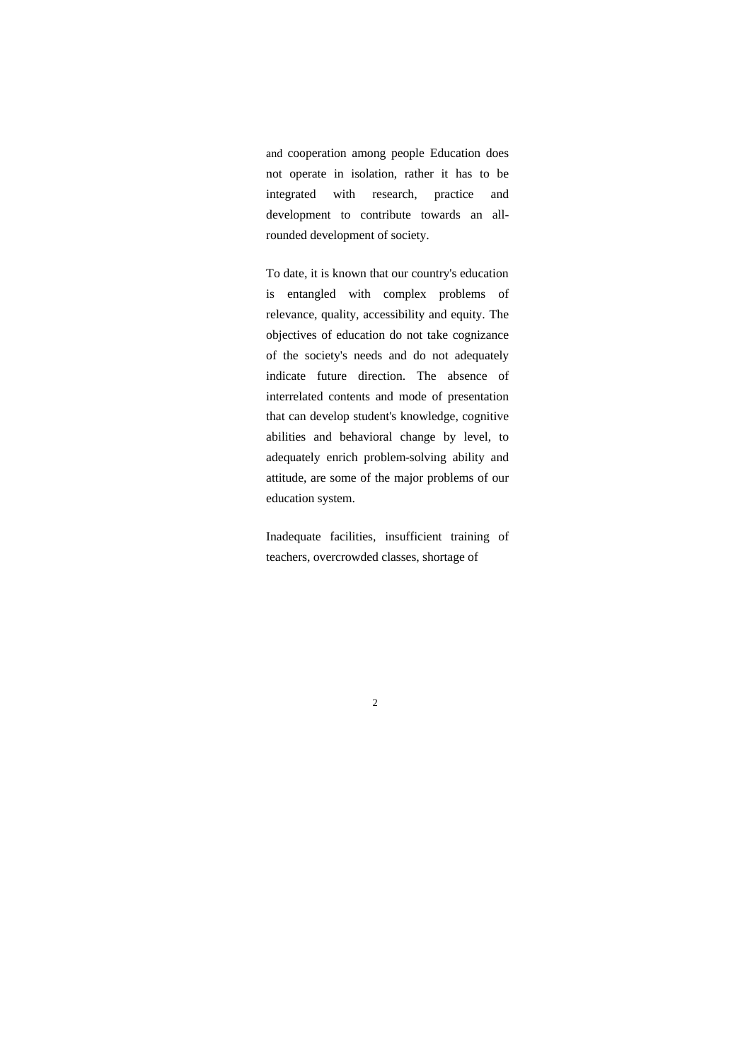and cooperation among people Education does not operate in isolation, rather it has to be integrated with research, practice and development to contribute towards an allrounded development of society.

To date, it is known that our country's education is entangled with complex problems of relevance, quality, accessibility and equity. The objectives of education do not take cognizance of the society's needs and do not adequately indicate future direction. The absence of interrelated contents and mode of presentation that can develop student's knowledge, cognitive abilities and behavioral change by level, to adequately enrich problem-solving ability and attitude, are some of the major problems of our education system.

Inadequate facilities, insufficient training of teachers, overcrowded classes, shortage of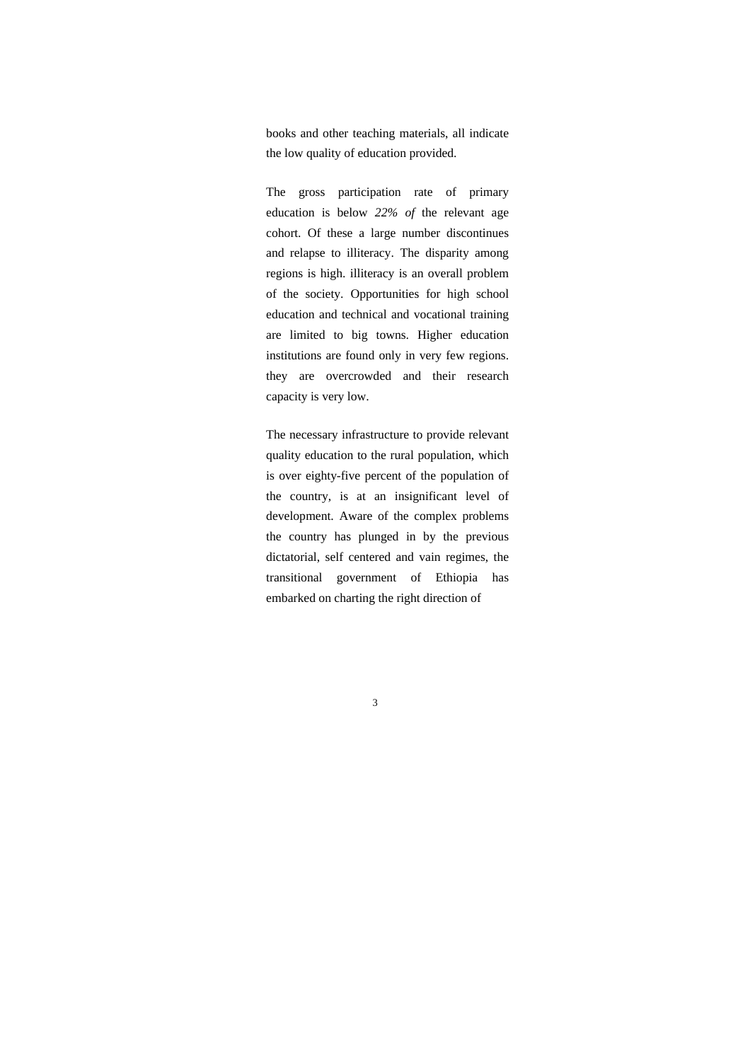books and other teaching materials, all indicate the low quality of education provided.

The gross participation rate of primary education is below *22% of* the relevant age cohort. Of these a large number discontinues and relapse to illiteracy. The disparity among regions is high. illiteracy is an overall problem of the society. Opportunities for high school education and technical and vocational training are limited to big towns. Higher education institutions are found only in very few regions. they are overcrowded and their research capacity is very low.

The necessary infrastructure to provide relevant quality education to the rural population, which is over eighty-five percent of the population of the country, is at an insignificant level of development. Aware of the complex problems the country has plunged in by the previous dictatorial, self centered and vain regimes, the transitional government of Ethiopia has embarked on charting the right direction of

3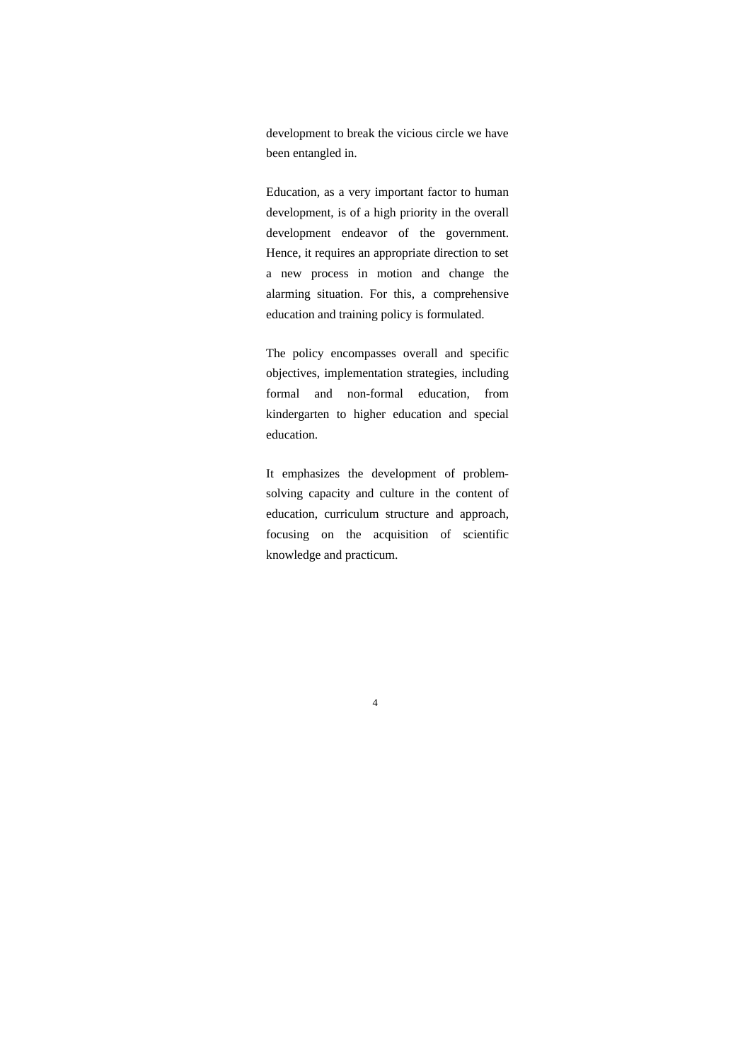development to break the vicious circle we have been entangled in.

Education, as a very important factor to human development, is of a high priority in the overall development endeavor of the government. Hence, it requires an appropriate direction to set a new process in motion and change the alarming situation. For this, a comprehensive education and training policy is formulated.

The policy encompasses overall and specific objectives, implementation strategies, including formal and non-formal education, from kindergarten to higher education and special education.

It emphasizes the development of problemsolving capacity and culture in the content of education, curriculum structure and approach, focusing on the acquisition of scientific knowledge and practicum.

4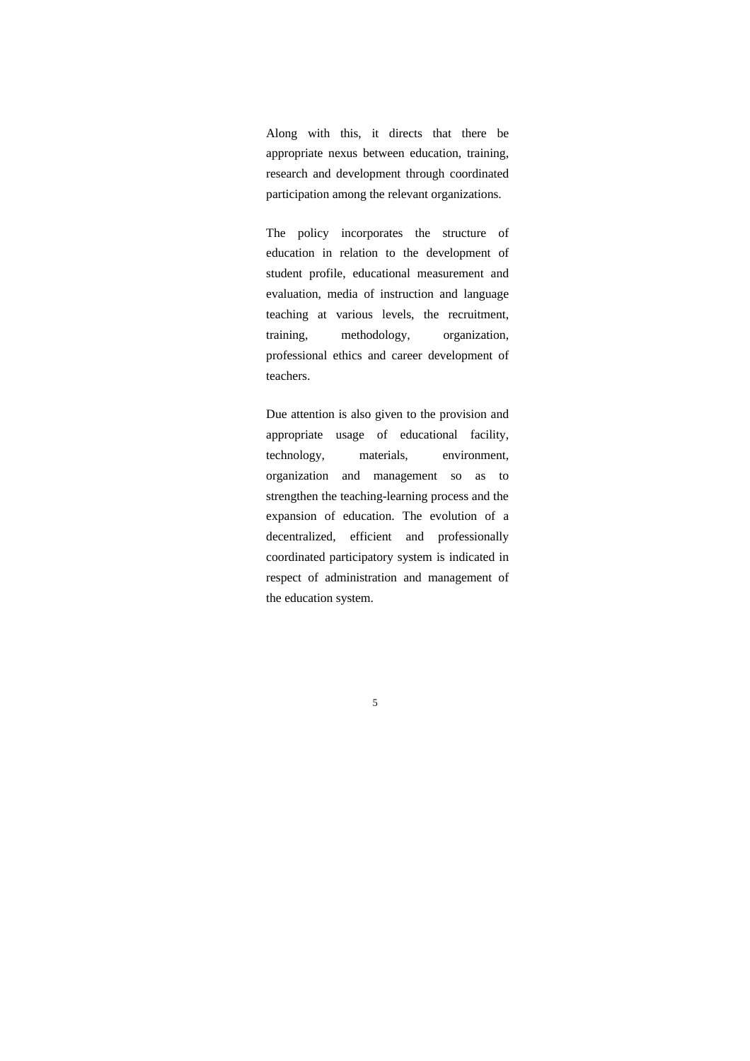Along with this, it directs that there be appropriate nexus between education, training, research and development through coordinated participation among the relevant organizations.

The policy incorporates the structure of education in relation to the development of student profile, educational measurement and evaluation, media of instruction and language teaching at various levels, the recruitment, training, methodology, organization, professional ethics and career development of teachers.

Due attention is also given to the provision and appropriate usage of educational facility, technology, materials, environment, organization and management so as to strengthen the teaching-learning process and the expansion of education. The evolution of a decentralized, efficient and professionally coordinated participatory system is indicated in respect of administration and management of the education system.

5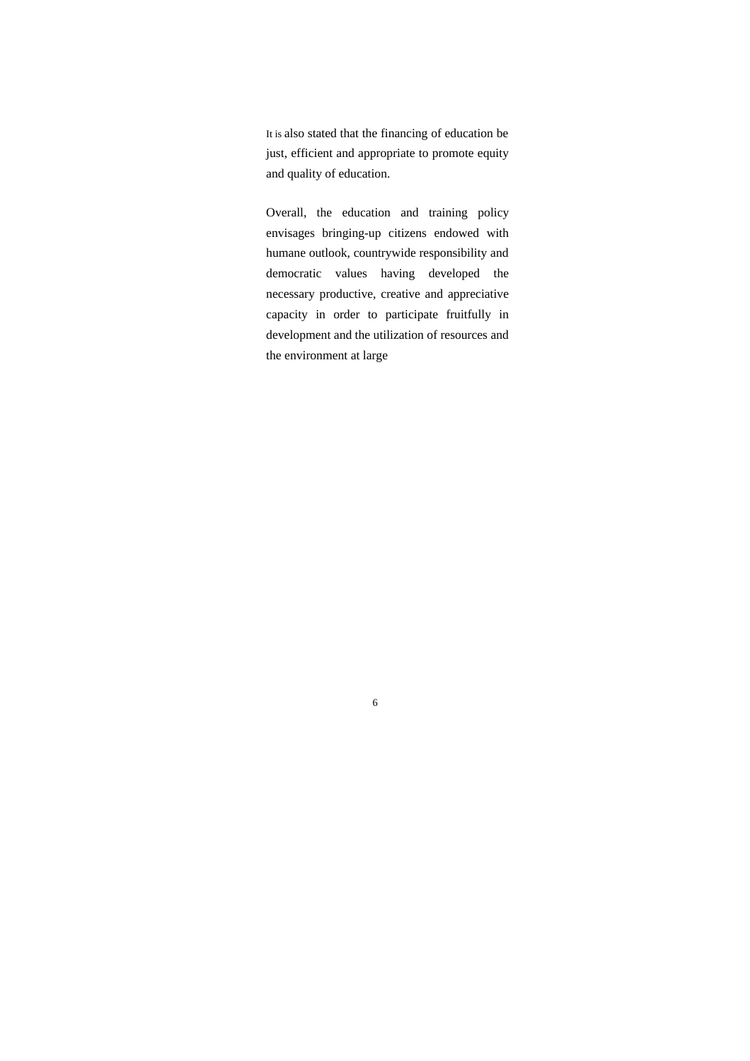It is also stated that the financing of education be just, efficient and appropriate to promote equity and quality of education.

Overall, the education and training policy envisages bringing-up citizens endowed with humane outlook, countrywide responsibility and democratic values having developed the necessary productive, creative and appreciative capacity in order to participate fruitfully in development and the utilization of resources and the environment at large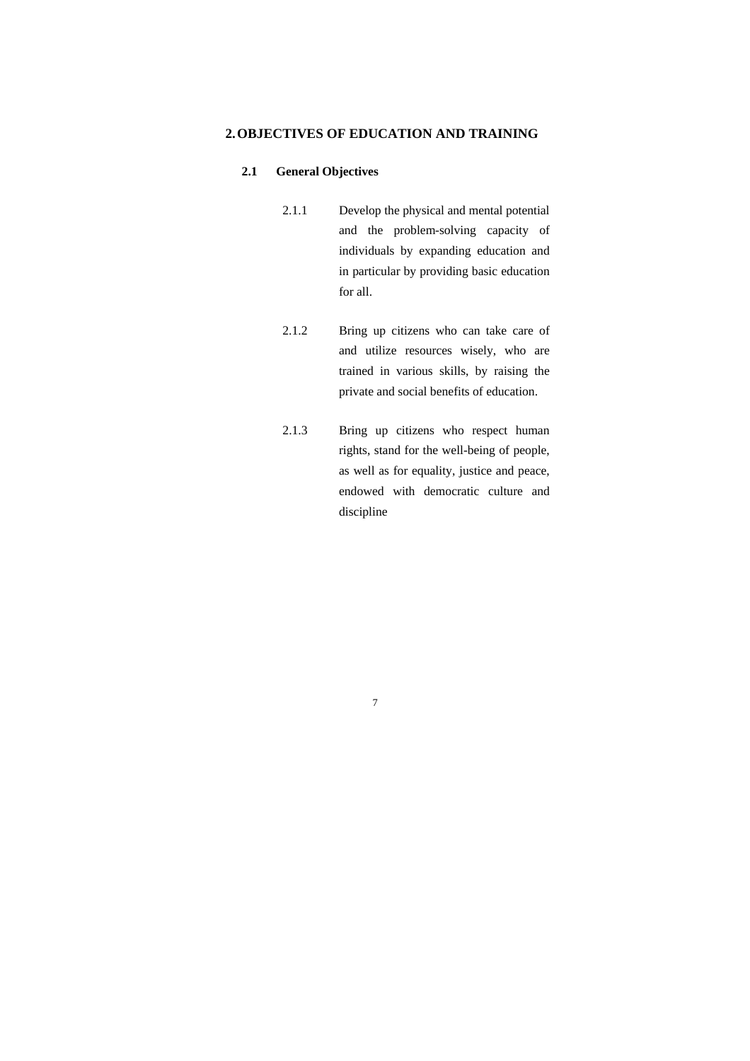## **2.OBJECTIVES OF EDUCATION AND TRAINING**

#### **2.1 General Objectives**

- 2.1.1 Develop the physical and mental potential and the problem-solving capacity of individuals by expanding education and in particular by providing basic education for all.
- 2.1.2 Bring up citizens who can take care of and utilize resources wisely, who are trained in various skills, by raising the private and social benefits of education.
- 2.1.3 Bring up citizens who respect human rights, stand for the well-being of people, as well as for equality, justice and peace, endowed with democratic culture and discipline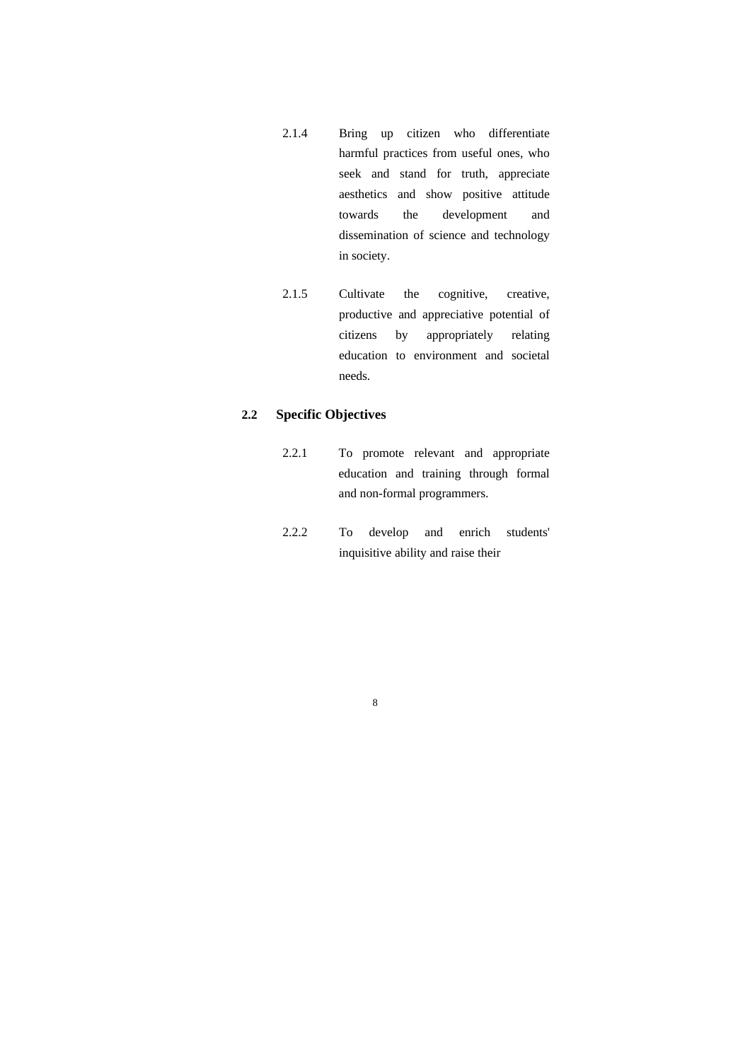- 2.1.4 Bring up citizen who differentiate harmful practices from useful ones, who seek and stand for truth, appreciate aesthetics and show positive attitude towards the development and dissemination of science and technology in society.
- 2.1.5 Cultivate the cognitive, creative, productive and appreciative potential of citizens by appropriately relating education to environment and societal needs.

## **2.2 Specific Objectives**

- 2.2.1 To promote relevant and appropriate education and training through formal and non-formal programmers.
- 2.2.2 To develop and enrich students' inquisitive ability and raise their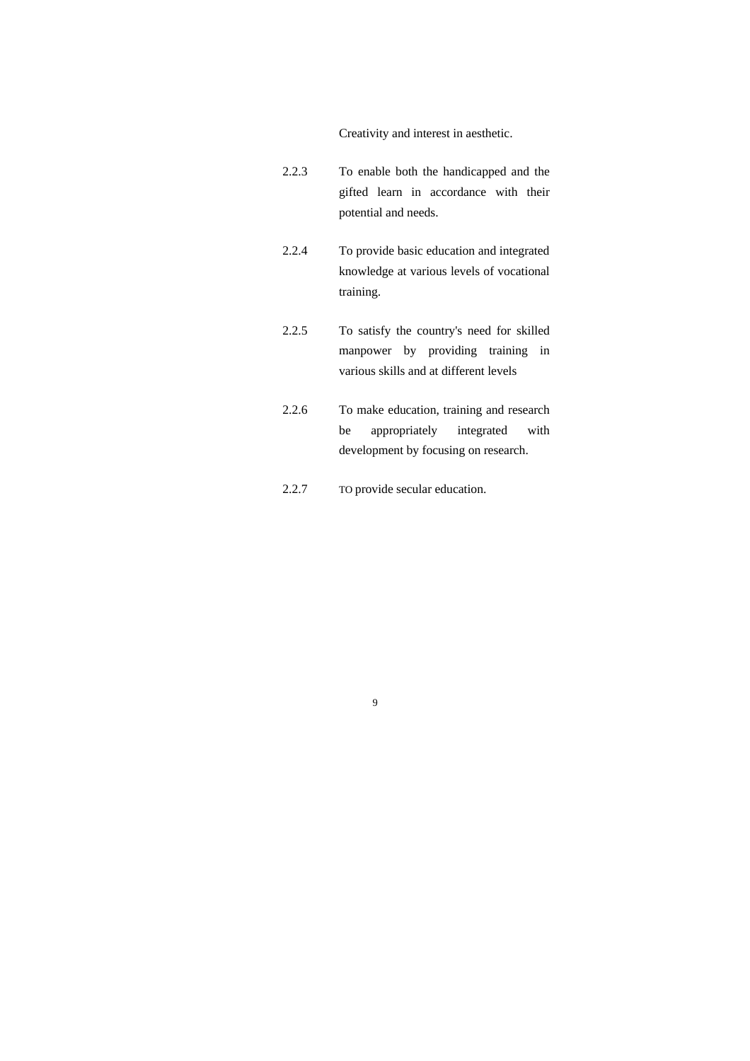Creativity and interest in aesthetic.

- 2.2.3 To enable both the handicapped and the gifted learn in accordance with their potential and needs.
- 2.2.4 To provide basic education and integrated knowledge at various levels of vocational training.
- 2.2.5 To satisfy the country's need for skilled manpower by providing training in various skills and at different levels
- 2.2.6 To make education, training and research be appropriately integrated with development by focusing on research.
- 2.2.7 TO provide secular education.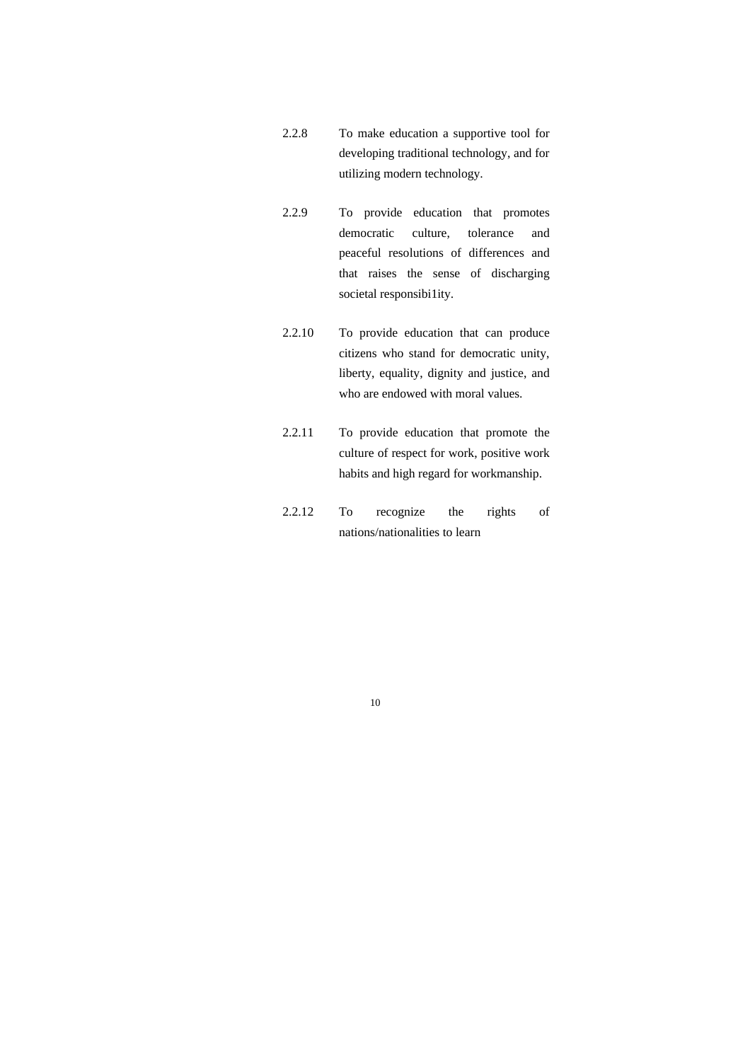- 2.2.8 To make education a supportive tool for developing traditional technology, and for utilizing modern technology.
- 2.2.9 To provide education that promotes democratic culture, tolerance and peaceful resolutions of differences and that raises the sense of discharging societal responsibility.
- 2.2.10 To provide education that can produce citizens who stand for democratic unity, liberty, equality, dignity and justice, and who are endowed with moral values.
- 2.2.11 To provide education that promote the culture of respect for work, positive work habits and high regard for workmanship.
- 2.2.12 To recognize the rights of nations/nationalities to learn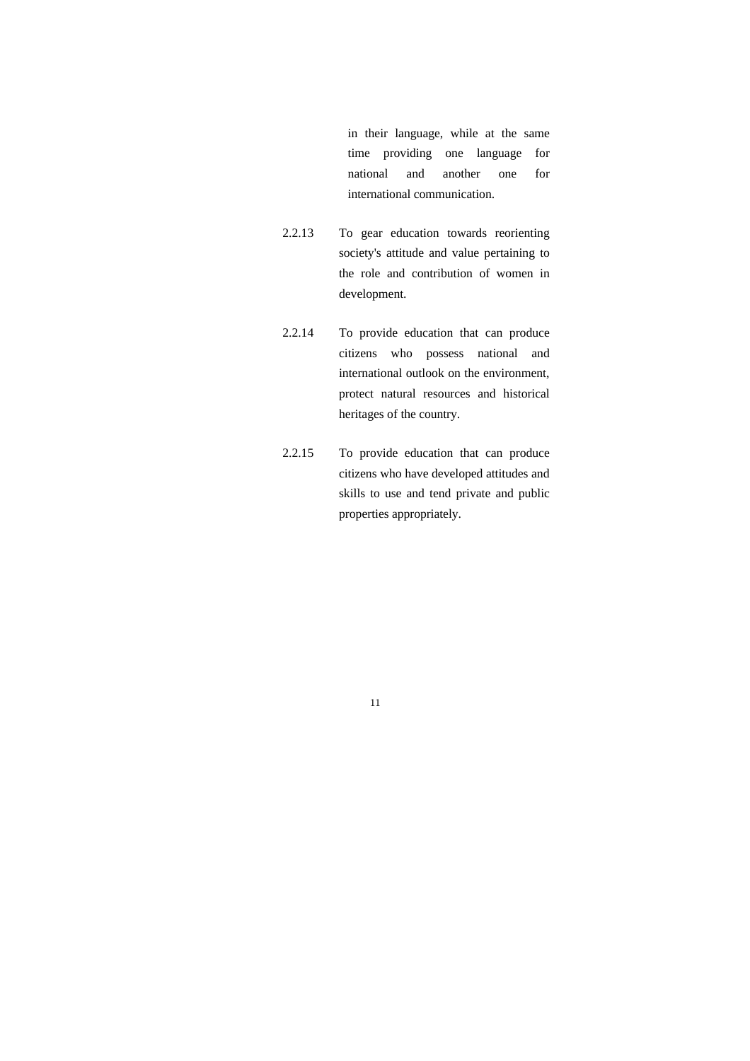in their language, while at the same time providing one language for national and another one for international communication.

- 2.2.13 To gear education towards reorienting society's attitude and value pertaining to the role and contribution of women in development.
- 2.2.14 To provide education that can produce citizens who possess national and international outlook on the environment, protect natural resources and historical heritages of the country.
- 2.2.15 To provide education that can produce citizens who have developed attitudes and skills to use and tend private and public properties appropriately.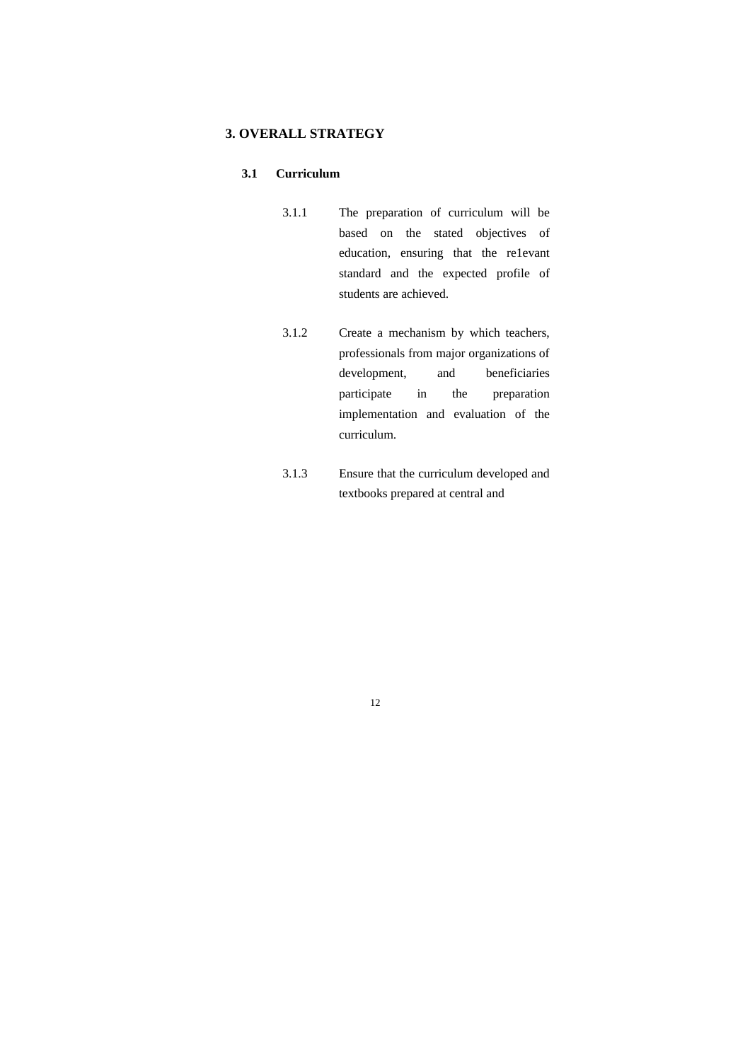### **3. OVERALL STRATEGY**

#### **3.1 Curriculum**

- 3.1.1 The preparation of curriculum will be based on the stated objectives of education, ensuring that the re1evant standard and the expected profile of students are achieved.
- 3.1.2 Create a mechanism by which teachers, professionals from major organizations of development, and beneficiaries participate in the preparation implementation and evaluation of the curriculum.
- 3.1.3 Ensure that the curriculum developed and textbooks prepared at central and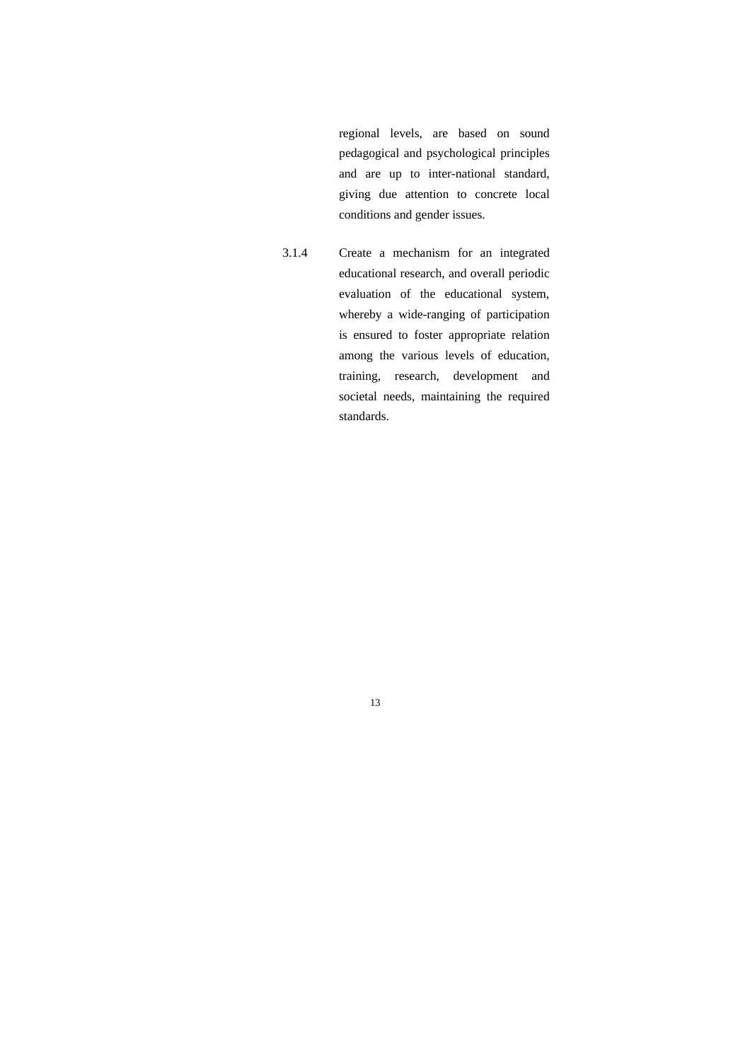regional levels, are based on sound pedagogical and psychological principles and are up to inter-national standard, giving due attention to concrete local conditions and gender issues.

3.1.4 Create a mechanism for an integrated educational research, and overall periodic evaluation of the educational system, whereby a wide-ranging of participation is ensured to foster appropriate relation among the various levels of education, training, research, development and societal needs, maintaining the required standards.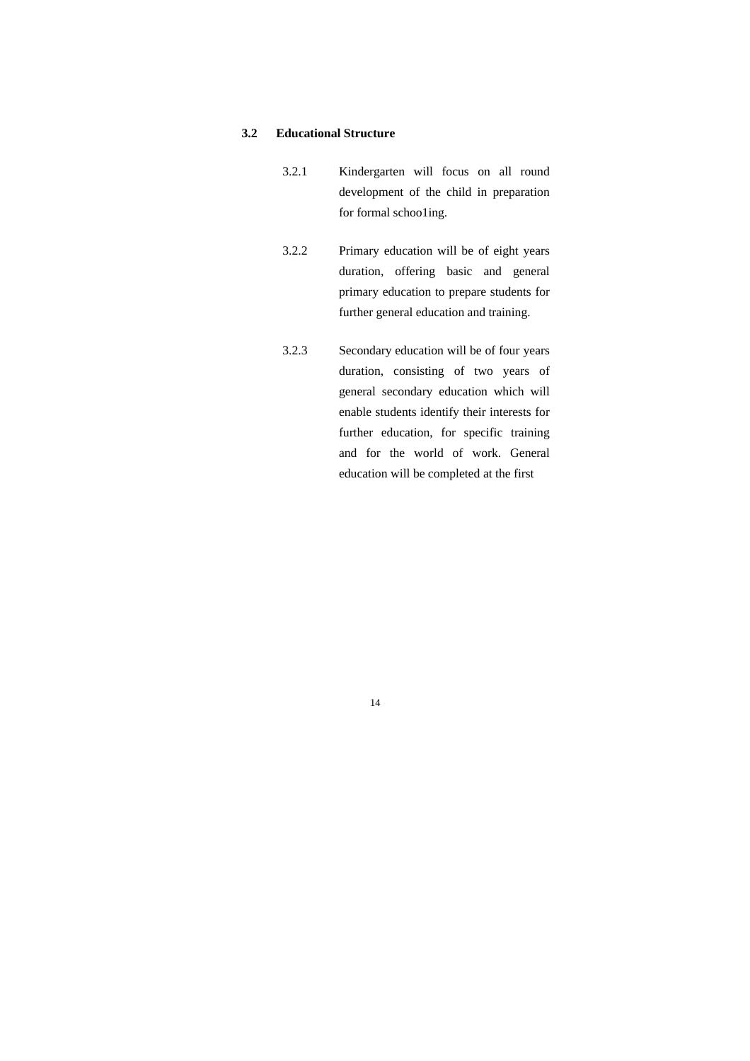#### **3.2 Educational Structure**

- 3.2.1 Kindergarten will focus on all round development of the child in preparation for formal schoo1ing.
- 3.2.2 Primary education will be of eight years duration, offering basic and general primary education to prepare students for further general education and training.
- 3.2.3 Secondary education will be of four years duration, consisting of two years of general secondary education which will enable students identify their interests for further education, for specific training and for the world of work. General education will be completed at the first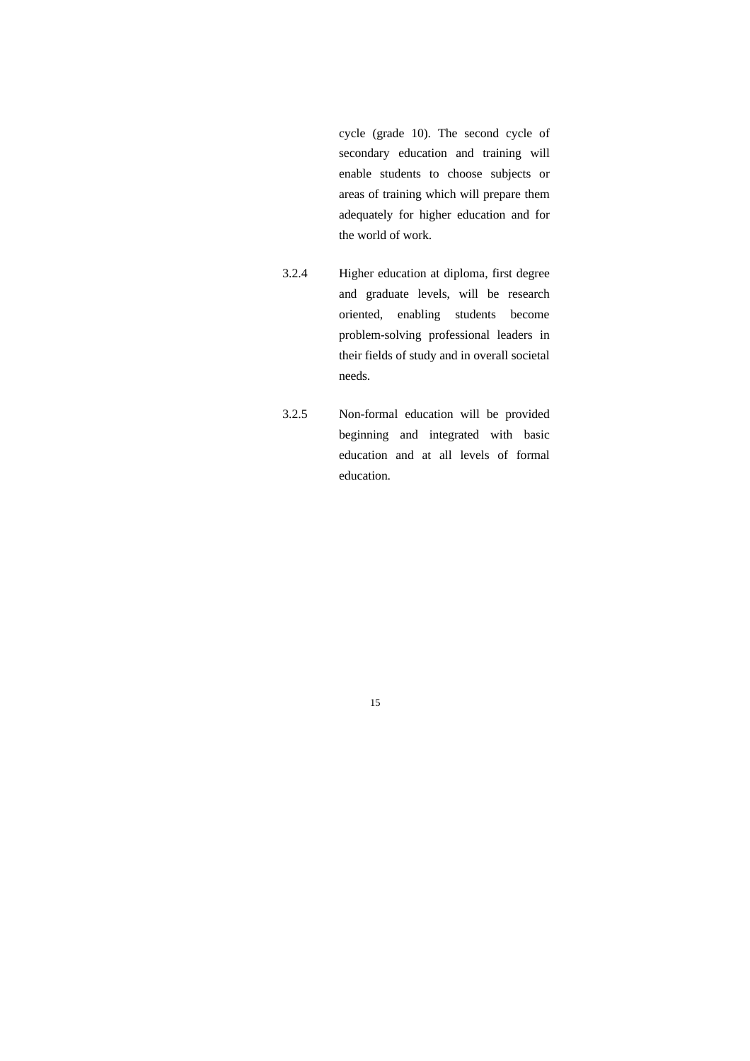cycle (grade 10). The second cycle of secondary education and training will enable students to choose subjects or areas of training which will prepare them adequately for higher education and for the world of work.

- 3.2.4 Higher education at diploma, first degree and graduate levels, will be research oriented, enabling students become problem-solving professional leaders in their fields of study and in overall societal needs.
- 3.2.5 Non-formal education will be provided beginning and integrated with basic education and at all levels of formal education.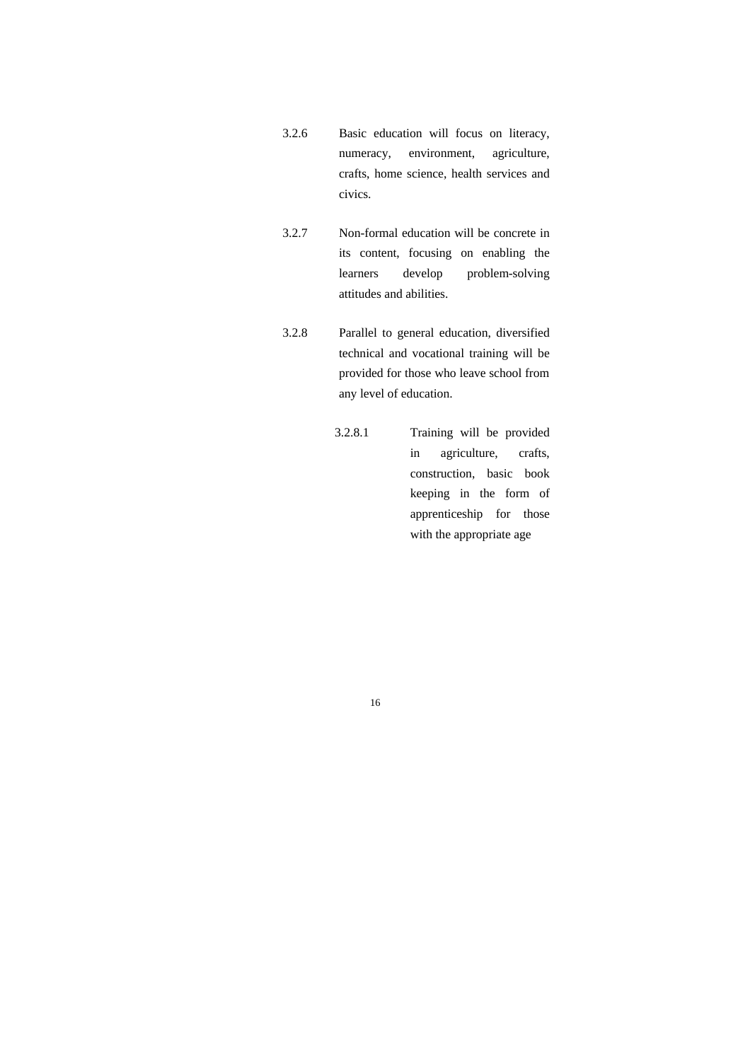- 3.2.6 Basic education will focus on literacy, numeracy, environment, agriculture, crafts, home science, health services and civics.
- 3.2.7 Non-formal education will be concrete in its content, focusing on enabling the learners develop problem-solving attitudes and abilities.
- 3.2.8 Parallel to general education, diversified technical and vocational training will be provided for those who leave school from any level of education.
	- 3.2.8.1 Training will be provided in agriculture, crafts, construction, basic book keeping in the form of apprenticeship for those with the appropriate age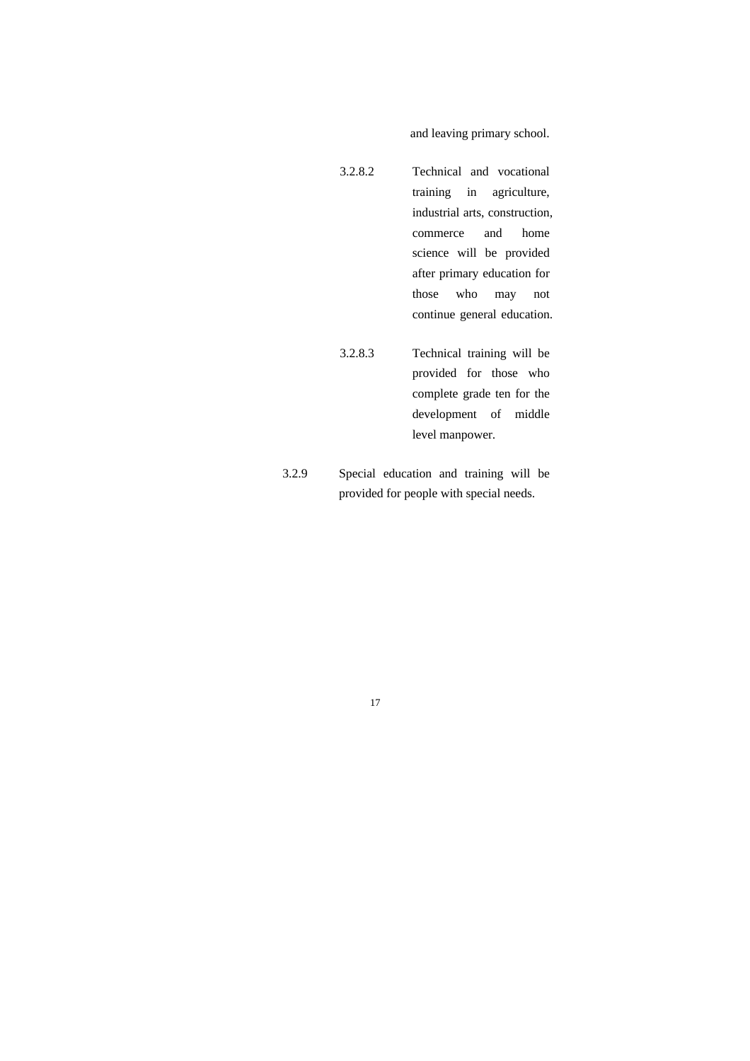and leaving primary school.

- 3.2.8.2 Technical and vocational training in agriculture, industrial arts, construction, commerce and home science will be provided after primary education for those who may not continue general education.
- 3.2.8.3 Technical training will be provided for those who complete grade ten for the development of middle level manpower.
- 3.2.9 Special education and training will be provided for people with special needs.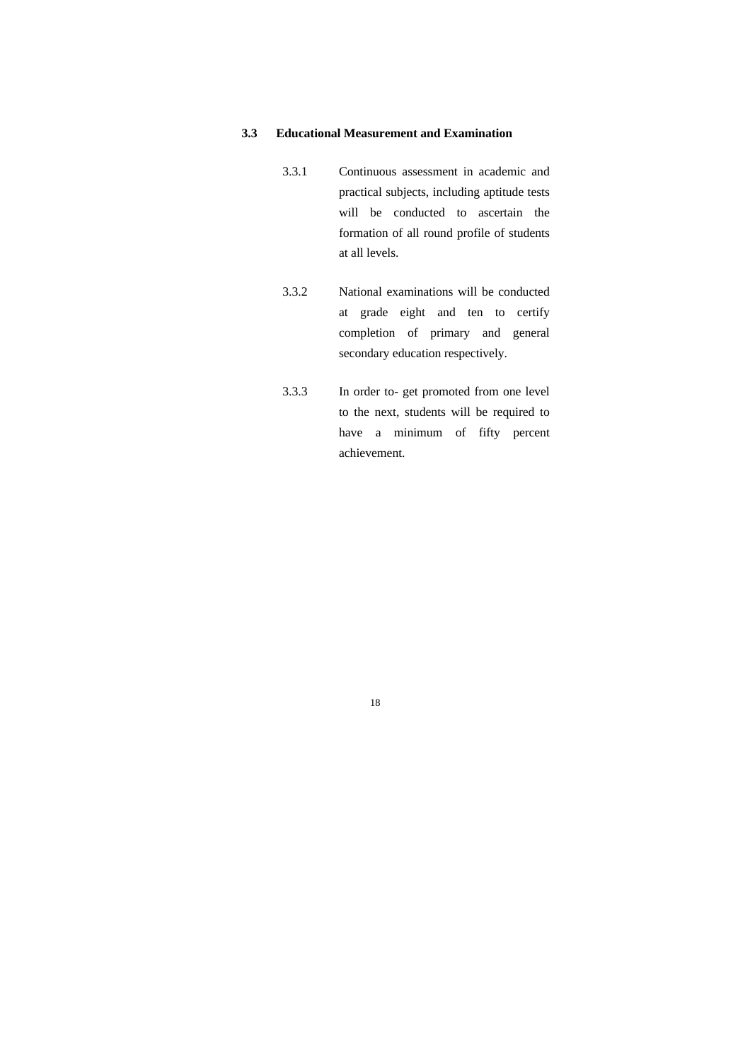#### **3.3 Educational Measurement and Examination**

- 3.3.1 Continuous assessment in academic and practical subjects, including aptitude tests will be conducted to ascertain the formation of all round profile of students at all levels.
- 3.3.2 National examinations will be conducted at grade eight and ten to certify completion of primary and general secondary education respectively.
- 3.3.3 In order to- get promoted from one level to the next, students will be required to have a minimum of fifty percent achievement.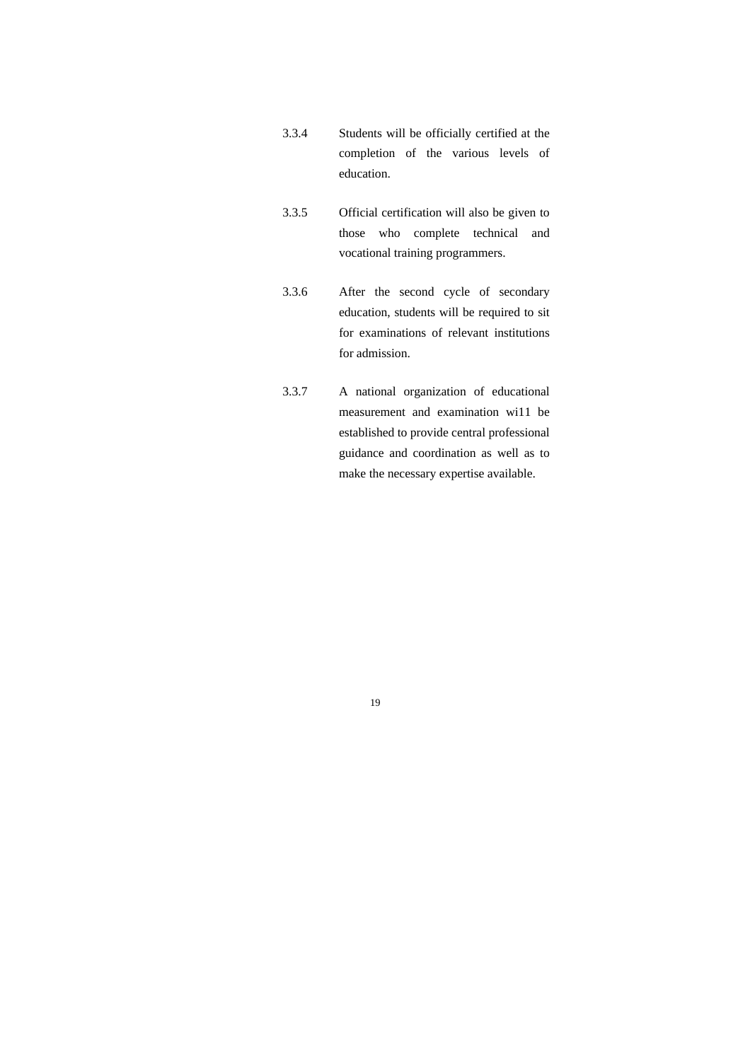- 3.3.4 Students will be officially certified at the completion of the various levels of education.
- 3.3.5 Official certification will also be given to those who complete technical and vocational training programmers.
- 3.3.6 After the second cycle of secondary education, students will be required to sit for examinations of relevant institutions for admission.
- 3.3.7 A national organization of educational measurement and examination wi11 be established to provide central professional guidance and coordination as well as to make the necessary expertise available.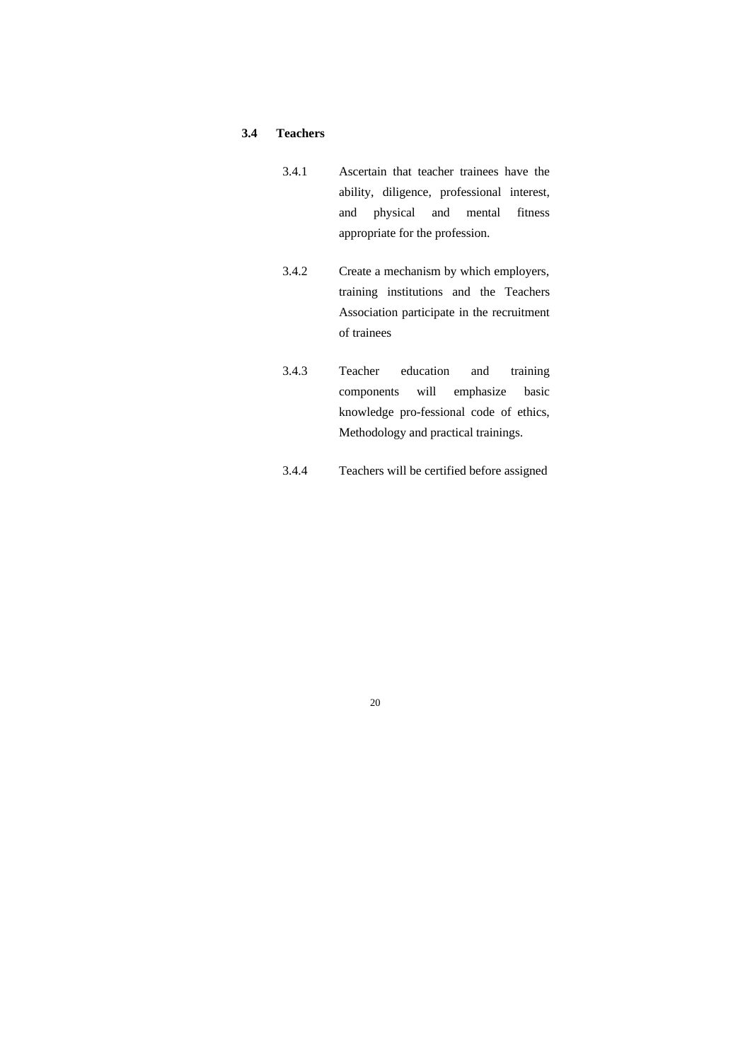#### **3.4 Teachers**

- 3.4.1 Ascertain that teacher trainees have the ability, diligence, professional interest, and physical and mental fitness appropriate for the profession.
- 3.4.2 Create a mechanism by which employers, training institutions and the Teachers Association participate in the recruitment of trainees
- 3.4.3 Teacher education and training components will emphasize basic knowledge pro-fessional code of ethics, Methodology and practical trainings.
- 3.4.4 Teachers will be certified before assigned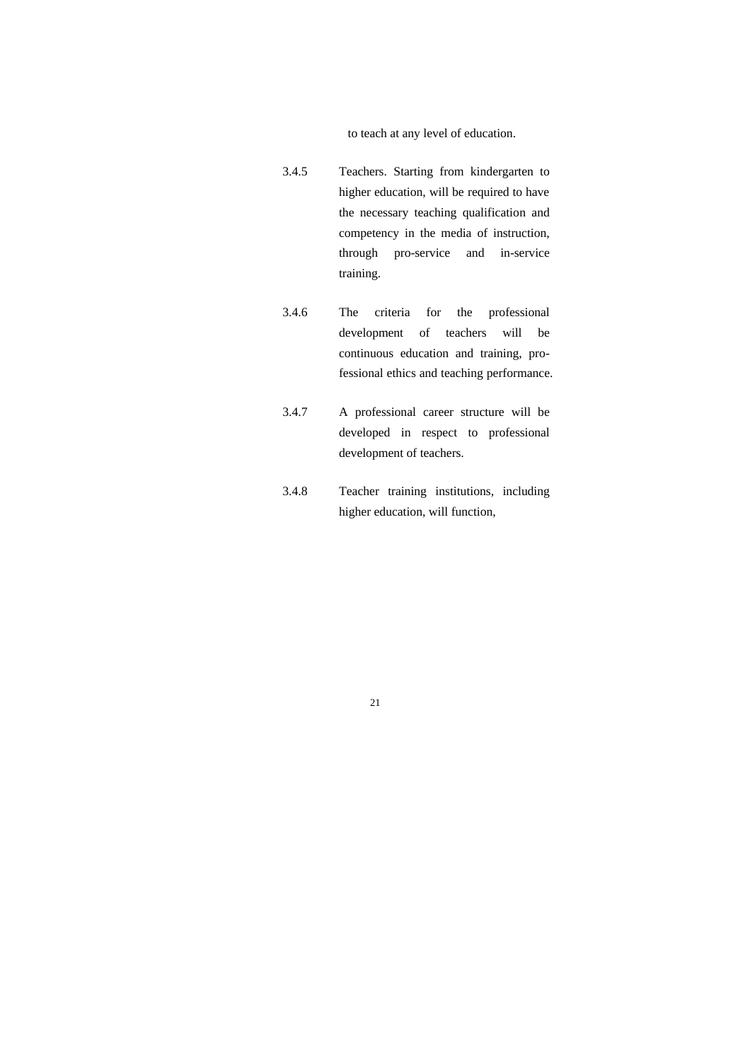to teach at any level of education.

- 3.4.5 Teachers. Starting from kindergarten to higher education, will be required to have the necessary teaching qualification and competency in the media of instruction, through pro-service and in-service training.
- 3.4.6 The criteria for the professional development of teachers will be continuous education and training, professional ethics and teaching performance.
- 3.4.7 A professional career structure will be developed in respect to professional development of teachers.
- 3.4.8 Teacher training institutions, including higher education, will function,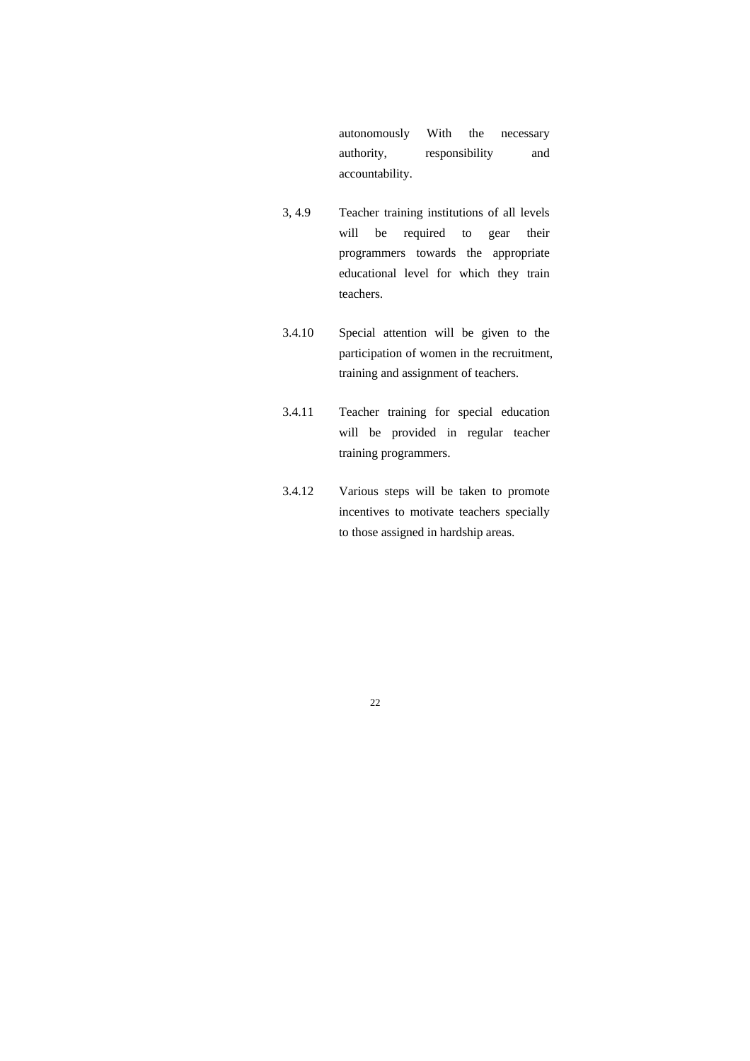autonomously With the necessary authority, responsibility and accountability.

- 3, 4.9 Teacher training institutions of all levels will be required to gear their programmers towards the appropriate educational level for which they train teachers.
- 3.4.10 Special attention will be given to the participation of women in the recruitment, training and assignment of teachers.
- 3.4.11 Teacher training for special education will be provided in regular teacher training programmers.
- 3.4.12 Various steps will be taken to promote incentives to motivate teachers specially to those assigned in hardship areas.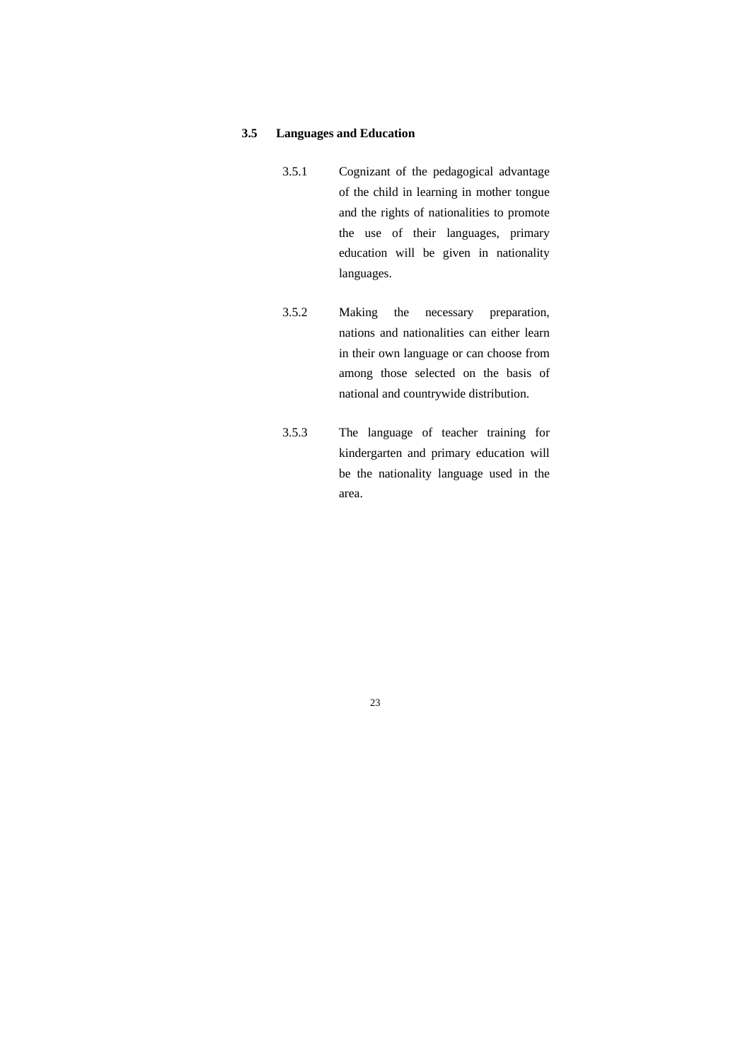#### **3.5 Languages and Education**

- 3.5.1 Cognizant of the pedagogical advantage of the child in learning in mother tongue and the rights of nationalities to promote the use of their languages, primary education will be given in nationality languages.
- 3.5.2 Making the necessary preparation, nations and nationalities can either learn in their own language or can choose from among those selected on the basis of national and countrywide distribution.
- 3.5.3 The language of teacher training for kindergarten and primary education will be the nationality language used in the area.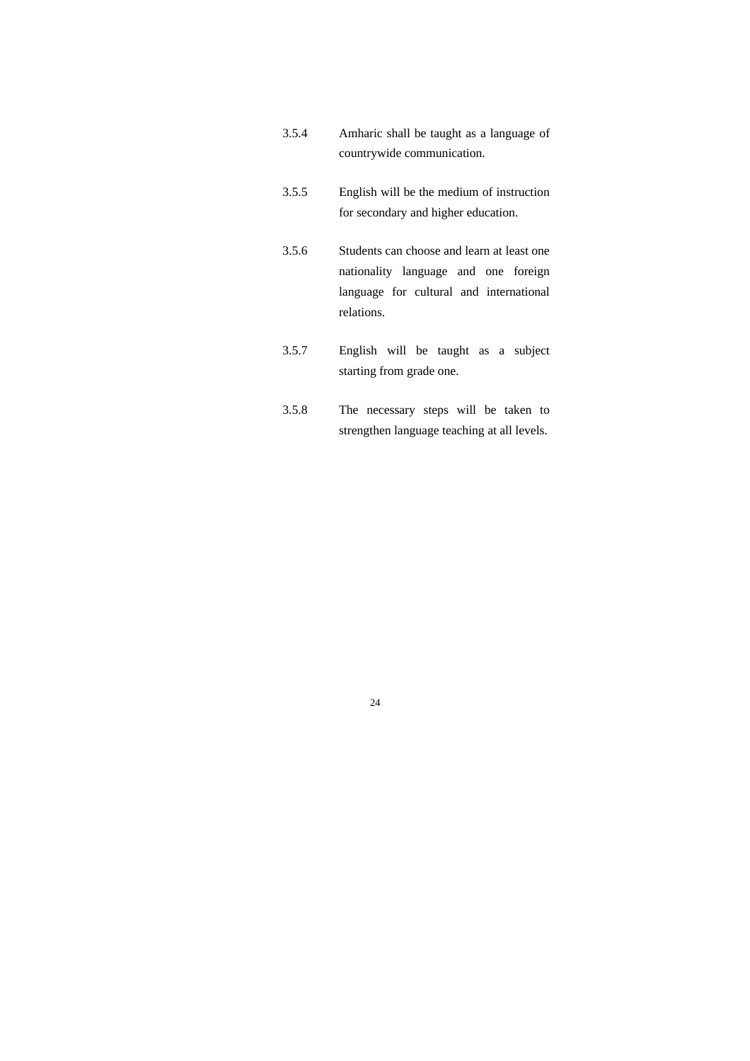- 3.5.4 Amharic shall be taught as a language of countrywide communication.
- 3.5.5 English will be the medium of instruction for secondary and higher education.
- 3.5.6 Students can choose and learn at least one nationality language and one foreign language for cultural and international relations.
- 3.5.7 English will be taught as a subject starting from grade one.
- 3.5.8 The necessary steps will be taken to strengthen language teaching at all levels.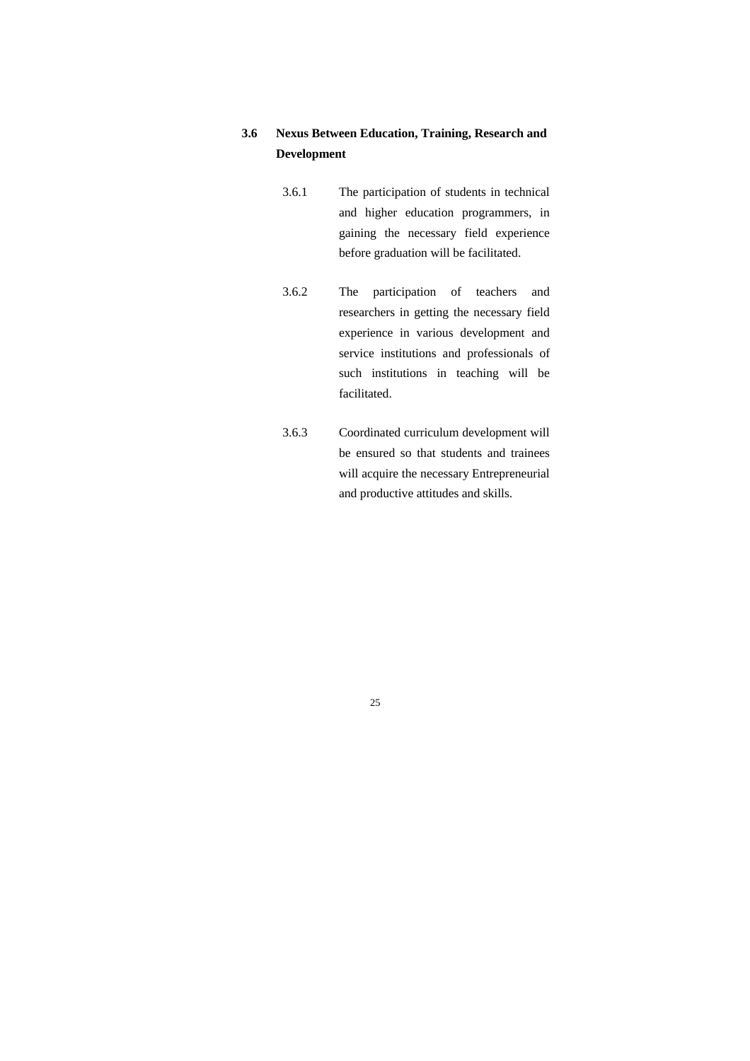## **3.6 Nexus Between Education, Training, Research and Development**

- 3.6.1 The participation of students in technical and higher education programmers, in gaining the necessary field experience before graduation will be facilitated.
- 3.6.2 The participation of teachers and researchers in getting the necessary field experience in various development and service institutions and professionals of such institutions in teaching will be facilitated.
- 3.6.3 Coordinated curriculum development will be ensured so that students and trainees will acquire the necessary Entrepreneurial and productive attitudes and skills.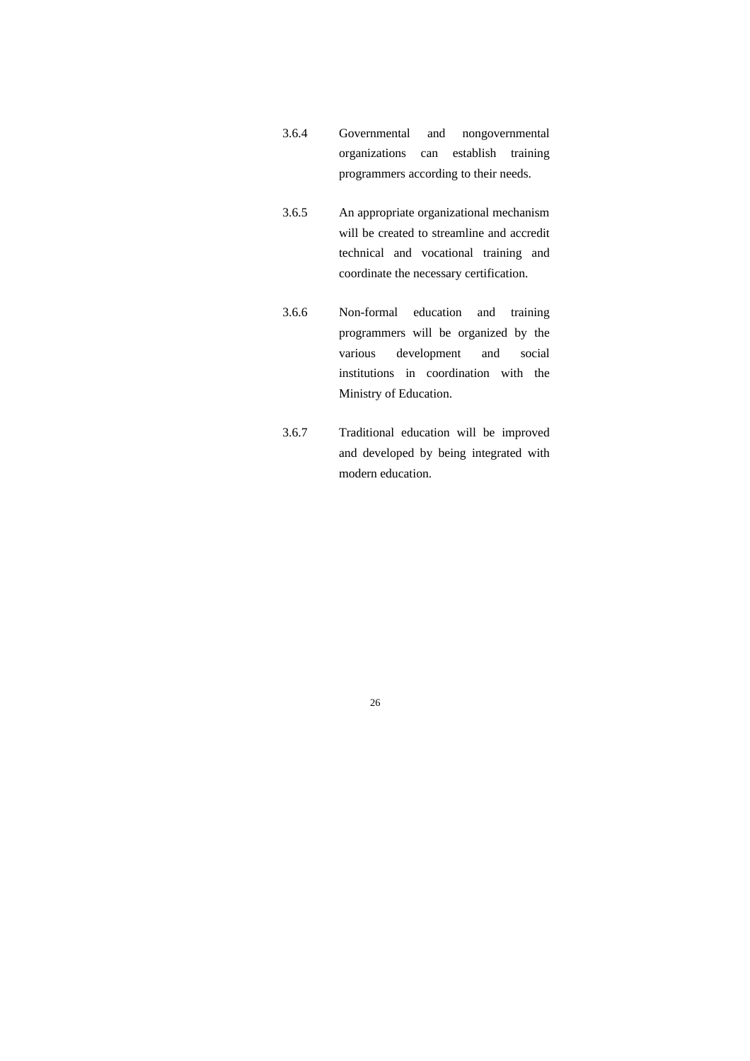- 3.6.4 Governmental and nongovernmental organizations can establish training programmers according to their needs.
- 3.6.5 An appropriate organizational mechanism will be created to streamline and accredit technical and vocational training and coordinate the necessary certification.
- 3.6.6 Non-formal education and training programmers will be organized by the various development and social institutions in coordination with the Ministry of Education.
- 3.6.7 Traditional education will be improved and developed by being integrated with modern education.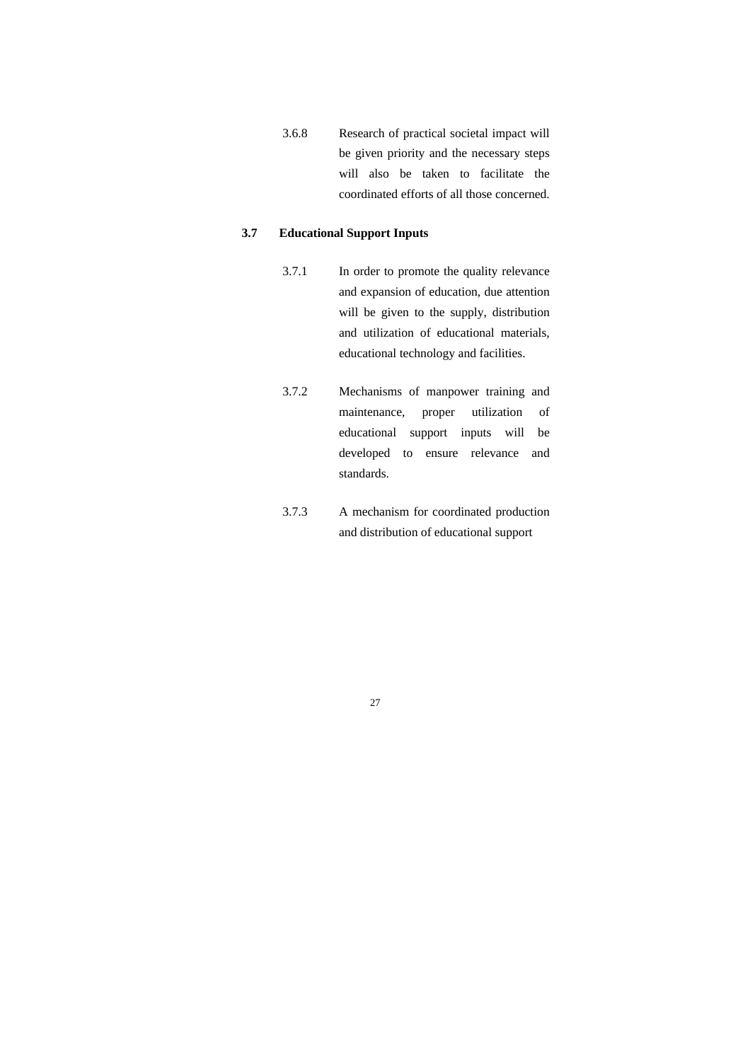3.6.8 Research of practical societal impact will be given priority and the necessary steps will also be taken to facilitate the coordinated efforts of all those concerned.

#### **3.7 Educational Support Inputs**

- 3.7.1 In order to promote the quality relevance and expansion of education, due attention will be given to the supply, distribution and utilization of educational materials, educational technology and facilities.
- 3.7.2 Mechanisms of manpower training and maintenance, proper utilization of educational support inputs will be developed to ensure relevance and standards.
- 3.7.3 A mechanism for coordinated production and distribution of educational support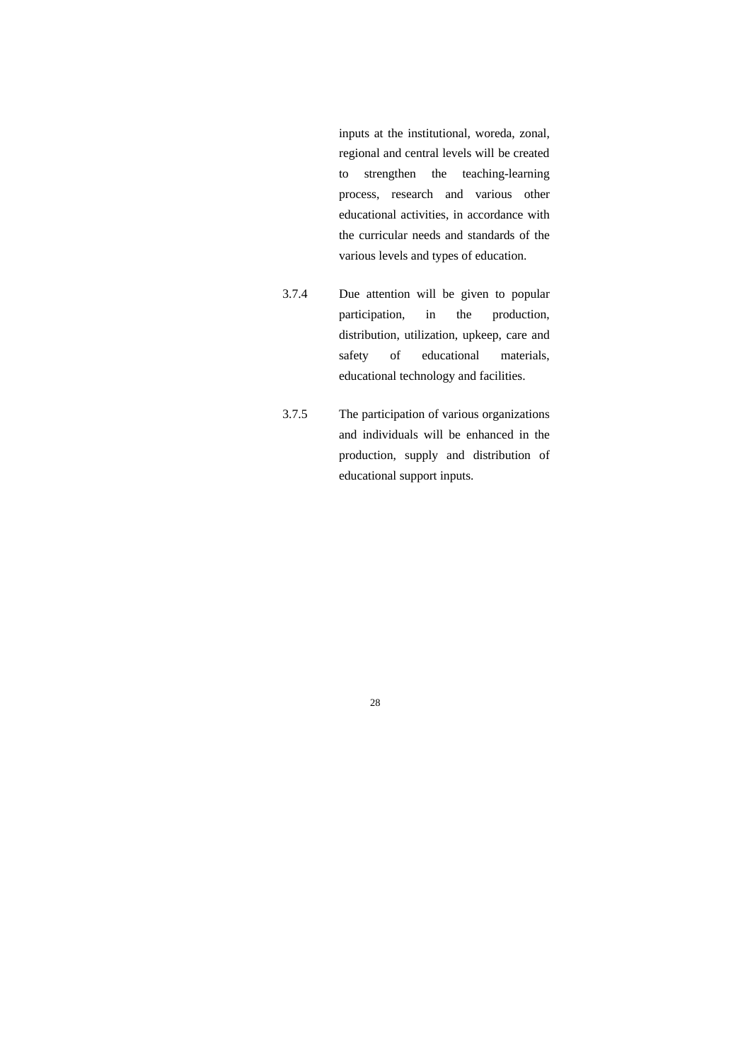inputs at the institutional, woreda, zonal, regional and central levels will be created to strengthen the teaching-learning process, research and various other educational activities, in accordance with the curricular needs and standards of the various levels and types of education.

- 3.7.4 Due attention will be given to popular participation, in the production, distribution, utilization, upkeep, care and safety of educational materials, educational technology and facilities.
- 3.7.5 The participation of various organizations and individuals will be enhanced in the production, supply and distribution of educational support inputs.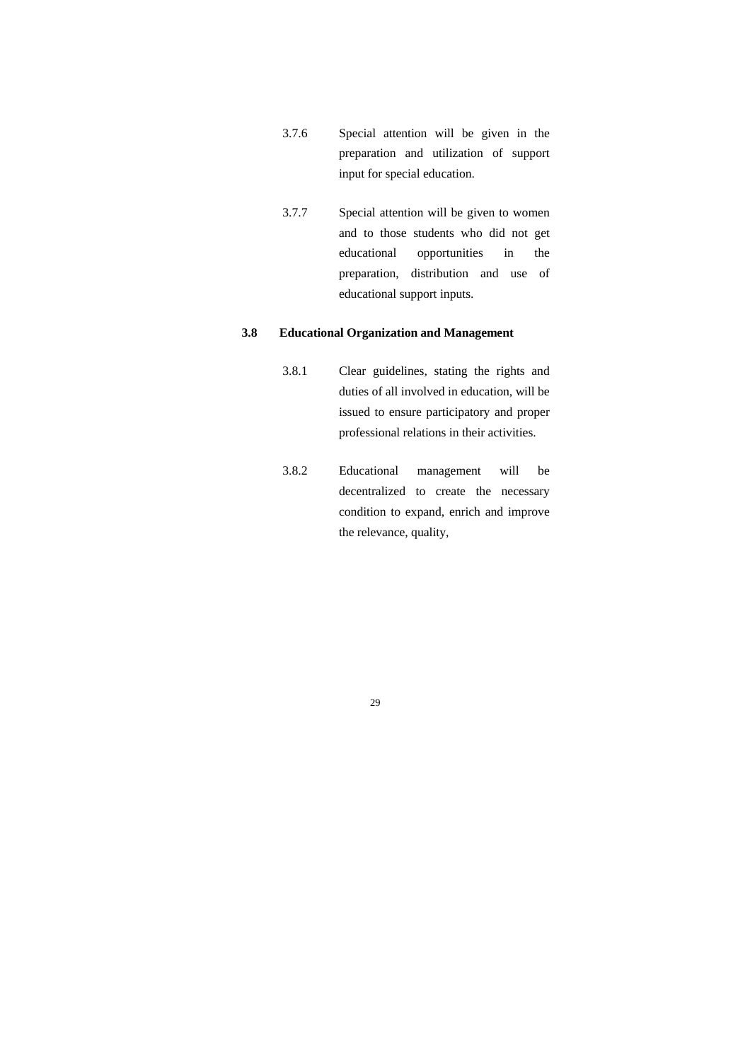- 3.7.6 Special attention will be given in the preparation and utilization of support input for special education.
- 3.7.7 Special attention will be given to women and to those students who did not get educational opportunities in the preparation, distribution and use of educational support inputs.

### **3.8 Educational Organization and Management**

- 3.8.1 Clear guidelines, stating the rights and duties of all involved in education, will be issued to ensure participatory and proper professional relations in their activities.
- 3.8.2 Educational management will be decentralized to create the necessary condition to expand, enrich and improve the relevance, quality,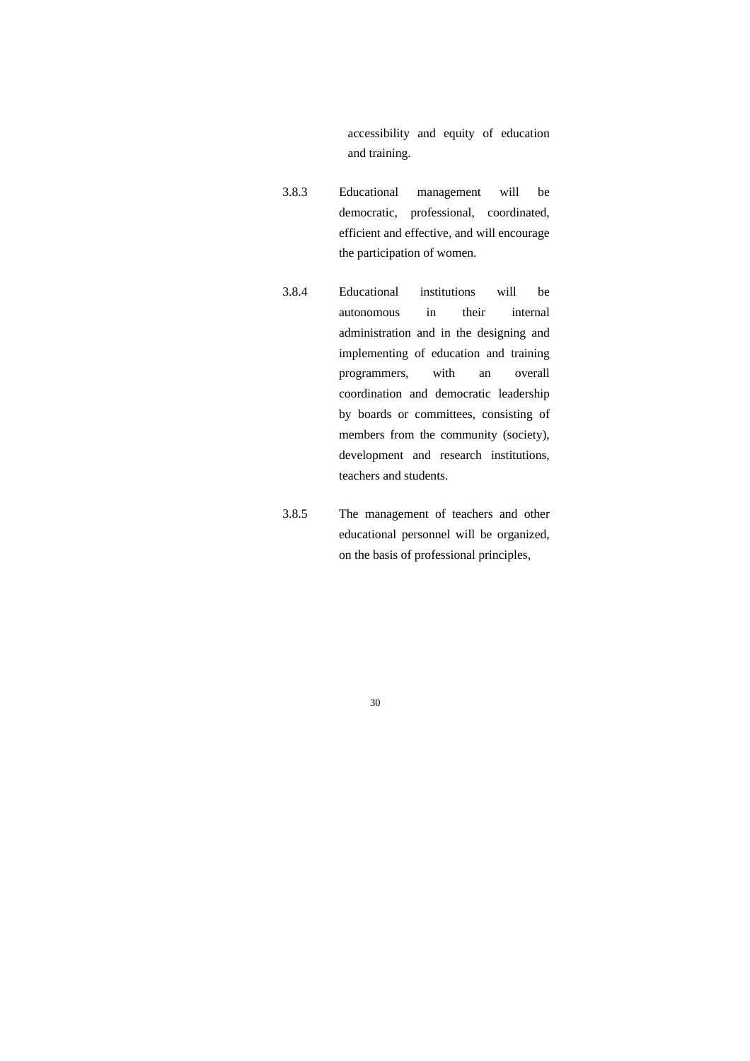accessibility and equity of education and training.

- 3.8.3 Educational management will be democratic, professional, coordinated, efficient and effective, and will encourage the participation of women.
- 3.8.4 Educational institutions will be autonomous in their internal administration and in the designing and implementing of education and training programmers, with an overall coordination and democratic leadership by boards or committees, consisting of members from the community (society), development and research institutions, teachers and students.
- 3.8.5 The management of teachers and other educational personnel will be organized, on the basis of professional principles,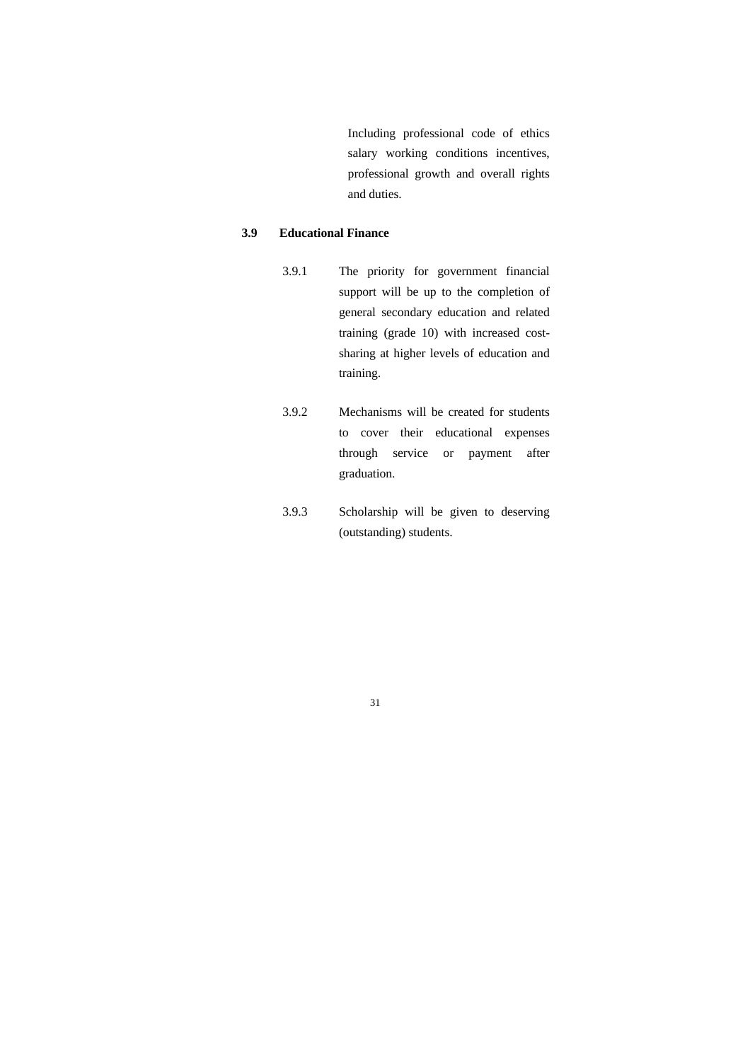Including professional code of ethics salary working conditions incentives, professional growth and overall rights and duties.

#### **3.9 Educational Finance**

- 3.9.1 The priority for government financial support will be up to the completion of general secondary education and related training (grade 10) with increased costsharing at higher levels of education and training.
- 3.9.2 Mechanisms will be created for students to cover their educational expenses through service or payment after graduation.
- 3.9.3 Scholarship will be given to deserving (outstanding) students.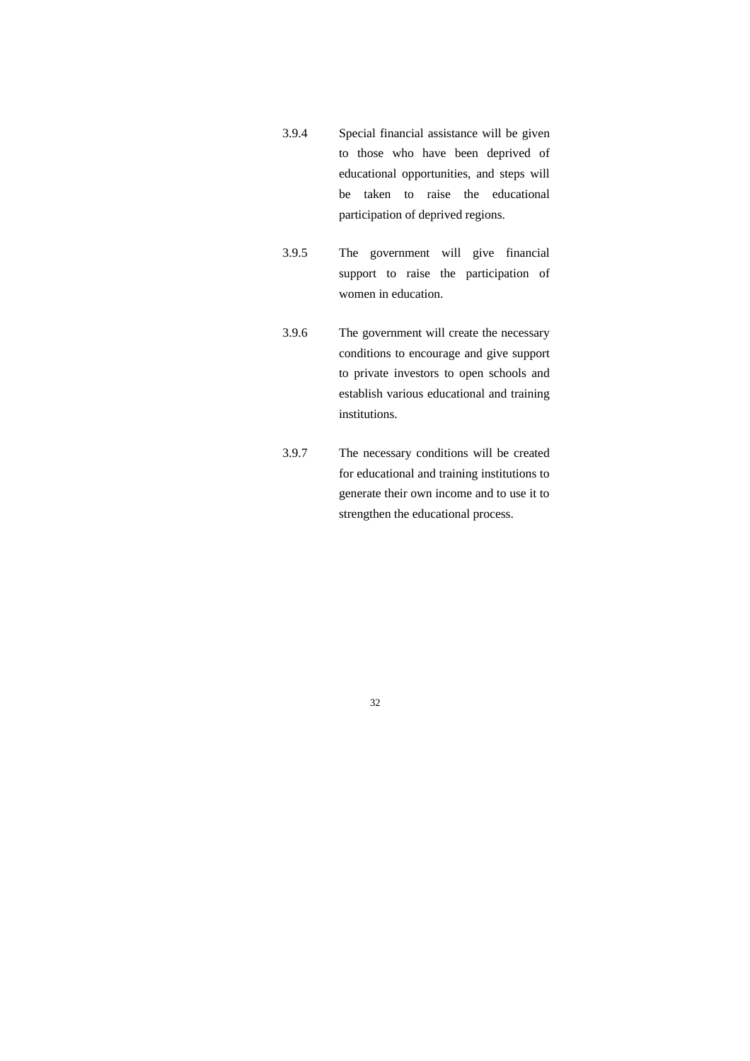- 3.9.4 Special financial assistance will be given to those who have been deprived of educational opportunities, and steps will be taken to raise the educational participation of deprived regions.
- 3.9.5 The government will give financial support to raise the participation of women in education.
- 3.9.6 The government will create the necessary conditions to encourage and give support to private investors to open schools and establish various educational and training institutions.
- 3.9.7 The necessary conditions will be created for educational and training institutions to generate their own income and to use it to strengthen the educational process.